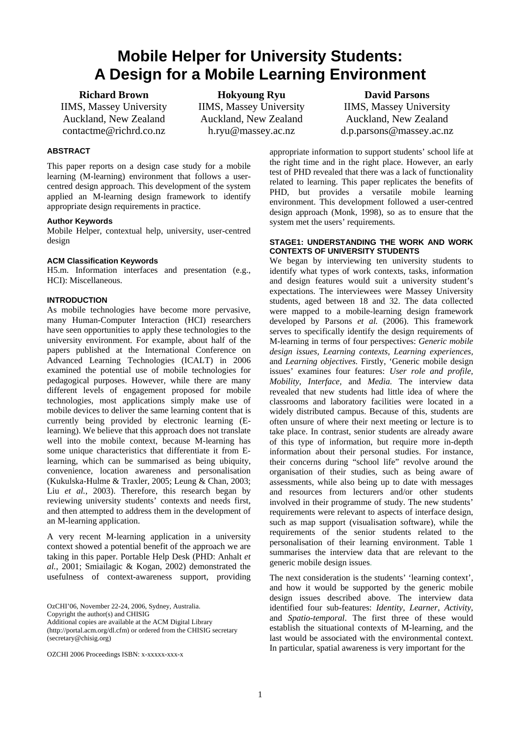# **Mobile Helper for University Students: A Design for a Mobile Learning Environment**

**Richard Brown** 

IIMS, Massey University Auckland, New Zealand contactme@richrd.co.nz

**Hokyoung Ryu**  IIMS, Massey University Auckland, New Zealand h.ryu@massey.ac.nz

**David Parsons**  IIMS, Massey University Auckland, New Zealand d.p.parsons@massey.ac.nz

# **ABSTRACT**

This paper reports on a design case study for a mobile learning (M-learning) environment that follows a usercentred design approach. This development of the system applied an M-learning design framework to identify appropriate design requirements in practice.

## **Author Keywords**

Mobile Helper, contextual help, university, user-centred design

#### **ACM Classification Keywords**

H5.m. Information interfaces and presentation (e.g., HCI): Miscellaneous.

#### **INTRODUCTION**

As mobile technologies have become more pervasive, many Human-Computer Interaction (HCI) researchers have seen opportunities to apply these technologies to the university environment. For example, about half of the papers published at the International Conference on Advanced Learning Technologies (ICALT) in 2006 examined the potential use of mobile technologies for pedagogical purposes. However, while there are many different levels of engagement proposed for mobile technologies, most applications simply make use of mobile devices to deliver the same learning content that is currently being provided by electronic learning (Elearning). We believe that this approach does not translate well into the mobile context, because M-learning has some unique characteristics that differentiate it from Elearning, which can be summarised as being ubiquity, convenience, location awareness and personalisation (Kukulska-Hulme & Traxler, 2005; Leung & Chan, 2003; Liu *et al.*, 2003). Therefore, this research began by reviewing university students' contexts and needs first, and then attempted to address them in the development of an M-learning application.

A very recent M-learning application in a university context showed a potential benefit of the approach we are taking in this paper. Portable Help Desk (PHD: Anhalt *et al.*, 2001; Smiailagic & Kogan, 2002) demonstrated the usefulness of context-awareness support, providing

OzCHI'06, November 22-24, 2006, Sydney, Australia. Copyright the author(s) and CHISIG Additional copies are available at the ACM Digital Library (http://portal.acm.org/dl.cfm) or ordered from the CHISIG secretary (secretary@chisig.org)

OZCHI 2006 Proceedings ISBN: x-xxxxx-xxx-x

appropriate information to support students' school life at the right time and in the right place. However, an early test of PHD revealed that there was a lack of functionality related to learning. This paper replicates the benefits of PHD, but provides a versatile mobile learning environment. This development followed a user-centred design approach (Monk, 1998), so as to ensure that the system met the users' requirements.

#### **STAGE1: UNDERSTANDING THE WORK AND WORK CONTEXTS OF UNIVERSITY STUDENTS**

We began by interviewing ten university students to identify what types of work contexts, tasks, information and design features would suit a university student's expectations. The interviewees were Massey University students, aged between 18 and 32. The data collected were mapped to a mobile-learning design framework developed by Parsons *et al.* (2006). This framework serves to specifically identify the design requirements of M-learning in terms of four perspectives: *Generic mobile design issues, Learning contexts, Learning experiences,*  and *Learning objectives.* Firstly, 'Generic mobile design issues' examines four features: *User role and profile, Mobility, Interface,* and *Media.* The interview data revealed that new students had little idea of where the classrooms and laboratory facilities were located in a widely distributed campus. Because of this, students are often unsure of where their next meeting or lecture is to take place. In contrast, senior students are already aware of this type of information, but require more in-depth information about their personal studies. For instance, their concerns during "school life" revolve around the organisation of their studies, such as being aware of assessments, while also being up to date with messages and resources from lecturers and/or other students involved in their programme of study. The new students' requirements were relevant to aspects of interface design, such as map support (visualisation software), while the requirements of the senior students related to the personalisation of their learning environment. Table 1 summarises the interview data that are relevant to the generic mobile design issues.

The next consideration is the students' 'learning context', and how it would be supported by the generic mobile design issues described above. The interview data identified four sub-features: *Identity, Learner, Activity,*  and *Spatio-temporal*. The first three of these would establish the situational contexts of M-learning, and the last would be associated with the environmental context. In particular, spatial awareness is very important for the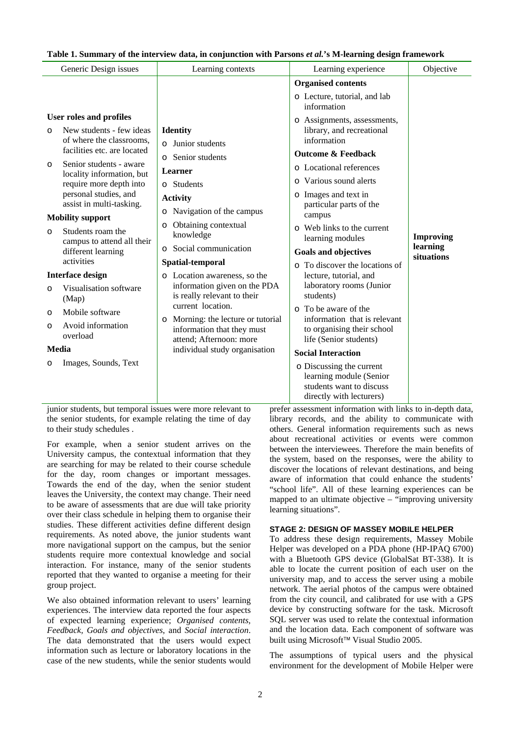#### **Table 1. Summary of the interview data, in conjunction with Parsons** *et al.***'s M-learning design framework**

| Generic Design issues                                           | Learning contexts                                | Learning experience                                  | Objective              |  |
|-----------------------------------------------------------------|--------------------------------------------------|------------------------------------------------------|------------------------|--|
|                                                                 |                                                  | <b>Organised contents</b>                            |                        |  |
|                                                                 |                                                  | o Lecture, tutorial, and lab<br>information          |                        |  |
| User roles and profiles                                         |                                                  | o Assignments, assessments,                          |                        |  |
| New students - few ideas<br>$\Omega$                            | <b>Identity</b>                                  | library, and recreational                            |                        |  |
| of where the classrooms,                                        | $\circ$ Junior students                          | information                                          |                        |  |
| facilities etc. are located                                     | o Senior students                                | <b>Outcome &amp; Feedback</b>                        |                        |  |
| Senior students - aware<br>$\circ$<br>locality information, but | Learner                                          | o Locational references                              |                        |  |
| require more depth into                                         | o Students                                       | o Various sound alerts                               |                        |  |
| personal studies, and                                           | <b>Activity</b>                                  | o Images and text in                                 |                        |  |
| assist in multi-tasking.                                        | Navigation of the campus<br>$\circ$              | particular parts of the<br>campus                    |                        |  |
| <b>Mobility support</b>                                         | Obtaining contextual<br>$\circ$                  | o Web links to the current                           |                        |  |
| Students roam the<br>$\Omega$<br>campus to attend all their     | knowledge                                        | learning modules                                     | <b>Improving</b>       |  |
| different learning                                              | Social communication<br>$\circ$                  | <b>Goals and objectives</b>                          | learning<br>situations |  |
| activities                                                      | Spatial-temporal                                 | o To discover the locations of                       |                        |  |
| <b>Interface design</b>                                         | o Location awareness, so the                     | lecture, tutorial, and                               |                        |  |
| Visualisation software<br>$\Omega$                              | information given on the PDA                     | laboratory rooms (Junior                             |                        |  |
| (Map)                                                           | is really relevant to their<br>current location. | students)                                            |                        |  |
| Mobile software<br>$\circ$                                      | Morning: the lecture or tutorial                 | o To be aware of the<br>information that is relevant |                        |  |
| Avoid information<br>$\circ$                                    | $\circ$<br>information that they must            | to organising their school                           |                        |  |
| overload                                                        | attend; Afternoon: more                          | life (Senior students)                               |                        |  |
| <b>Media</b>                                                    | individual study organisation                    | <b>Social Interaction</b>                            |                        |  |
| Images, Sounds, Text<br>$\circ$                                 |                                                  | o Discussing the current                             |                        |  |
|                                                                 |                                                  | learning module (Senior                              |                        |  |
|                                                                 |                                                  | students want to discuss<br>directly with lecturers) |                        |  |
|                                                                 |                                                  |                                                      |                        |  |

junior students, but temporal issues were more relevant to the senior students, for example relating the time of day to their study schedules .

For example, when a senior student arrives on the University campus, the contextual information that they are searching for may be related to their course schedule for the day, room changes or important messages. Towards the end of the day, when the senior student leaves the University, the context may change. Their need to be aware of assessments that are due will take priority over their class schedule in helping them to organise their studies. These different activities define different design requirements. As noted above, the junior students want more navigational support on the campus, but the senior students require more contextual knowledge and social interaction. For instance, many of the senior students reported that they wanted to organise a meeting for their group project.

We also obtained information relevant to users' learning experiences. The interview data reported the four aspects of expected learning experience; *Organised contents, Feedback, Goals and objectives*, and *Social interaction*. The data demonstrated that the users would expect information such as lecture or laboratory locations in the case of the new students, while the senior students would

prefer assessment information with links to in-depth data, library records, and the ability to communicate with others. General information requirements such as news about recreational activities or events were common between the interviewees. Therefore the main benefits of the system, based on the responses, were the ability to discover the locations of relevant destinations, and being aware of information that could enhance the students' "school life". All of these learning experiences can be mapped to an ultimate objective – "improving university learning situations".

#### **STAGE 2: DESIGN OF MASSEY MOBILE HELPER**

To address these design requirements, Massey Mobile Helper was developed on a PDA phone (HP-IPAQ 6700) with a Bluetooth GPS device (GlobalSat BT-338). It is able to locate the current position of each user on the university map, and to access the server using a mobile network. The aerial photos of the campus were obtained from the city council, and calibrated for use with a GPS device by constructing software for the task. Microsoft SQL server was used to relate the contextual information and the location data. Each component of software was built using Microsoft™ Visual Studio 2005.

The assumptions of typical users and the physical environment for the development of Mobile Helper were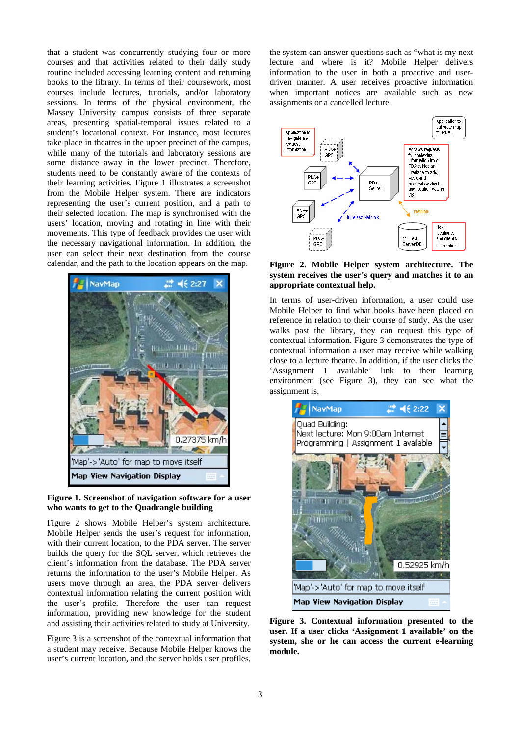that a student was concurrently studying four or more courses and that activities related to their daily study routine included accessing learning content and returning books to the library. In terms of their coursework, most courses include lectures, tutorials, and/or laboratory sessions. In terms of the physical environment, the Massey University campus consists of three separate areas, presenting spatial-temporal issues related to a student's locational context. For instance, most lectures take place in theatres in the upper precinct of the campus, while many of the tutorials and laboratory sessions are some distance away in the lower precinct. Therefore, students need to be constantly aware of the contexts of their learning activities. Figure 1 illustrates a screenshot from the Mobile Helper system. There are indicators representing the user's current position, and a path to their selected location. The map is synchronised with the users' location, moving and rotating in line with their movements. This type of feedback provides the user with the necessary navigational information. In addition, the user can select their next destination from the course calendar, and the path to the location appears on the map.



#### **Figure 1. Screenshot of navigation software for a user who wants to get to the Quadrangle building**

Figure 2 shows Mobile Helper's system architecture. Mobile Helper sends the user's request for information, with their current location, to the PDA server. The server builds the query for the SQL server, which retrieves the client's information from the database. The PDA server returns the information to the user's Mobile Helper. As users move through an area, the PDA server delivers contextual information relating the current position with the user's profile. Therefore the user can request information, providing new knowledge for the student and assisting their activities related to study at University.

Figure 3 is a screenshot of the contextual information that a student may receive. Because Mobile Helper knows the user's current location, and the server holds user profiles,

the system can answer questions such as "what is my next lecture and where is it? Mobile Helper delivers information to the user in both a proactive and userdriven manner. A user receives proactive information when important notices are available such as new assignments or a cancelled lecture.



#### **Figure 2. Mobile Helper system architecture. The system receives the user's query and matches it to an appropriate contextual help.**

In terms of user-driven information, a user could use Mobile Helper to find what books have been placed on reference in relation to their course of study. As the user walks past the library, they can request this type of contextual information. Figure 3 demonstrates the type of contextual information a user may receive while walking close to a lecture theatre. In addition, if the user clicks the 'Assignment 1 available' link to their learning environment (see Figure 3), they can see what the assignment is.



**Figure 3. Contextual information presented to the user. If a user clicks 'Assignment 1 available' on the system, she or he can access the current e-learning module.**